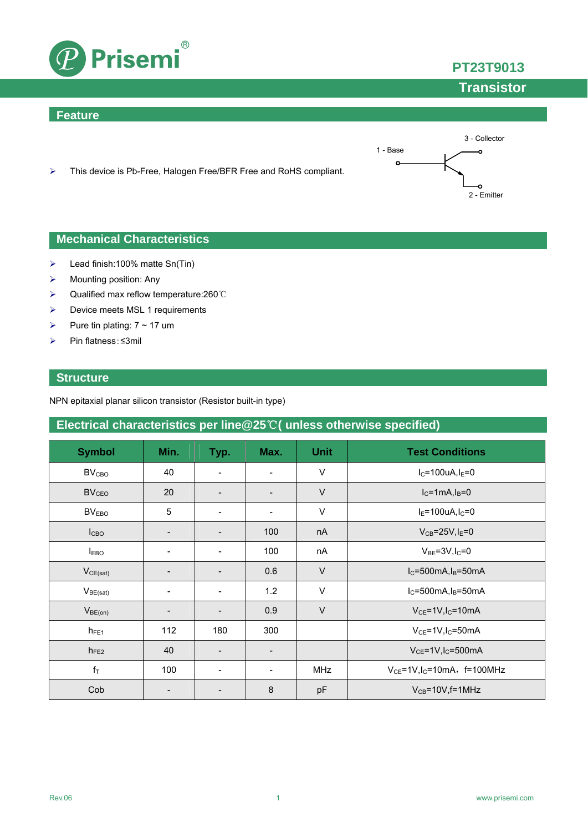

### **Feature**



**PT23T9013**

**Transistor**

> This device is Pb-Free, Halogen Free/BFR Free and RoHS compliant.

### **Mechanical Characteristics**

- $\blacktriangleright$  Lead finish:100% matte Sn(Tin)
- $\triangleright$  Mounting position: Any
- Qualified max reflow temperature:260℃
- > Device meets MSL 1 requirements
- Pure tin plating:  $7 \sim 17$  um
- Pin flatness:≤3mil

### **Structure**

NPN epitaxial planar silicon transistor (Resistor built-in type)

## **Electrical characteristics per line@25**℃**( unless otherwise specified)**

| <b>Symbol</b>           | Min.              | Typ.                     | Max.                     | <b>Unit</b> | <b>Test Conditions</b>                       |
|-------------------------|-------------------|--------------------------|--------------------------|-------------|----------------------------------------------|
| <b>BV<sub>CBO</sub></b> | 40                | $\overline{\phantom{a}}$ | $\overline{\phantom{a}}$ | $\vee$      | $I_C = 100uA, I_E = 0$                       |
| <b>BV<sub>CEO</sub></b> | 20                |                          | $\overline{\phantom{a}}$ | $\vee$      | $I_C = 1mA, I_B = 0$                         |
| BV <sub>EBO</sub>       | 5                 |                          | $\overline{\phantom{a}}$ | V           | $I_E = 100uA, I_C = 0$                       |
| I <sub>CBO</sub>        |                   |                          | 100                      | nA          | $V_{CB} = 25V, I_E = 0$                      |
| <b>IEBO</b>             | -                 | $\overline{\phantom{a}}$ | 100                      | nA          | $V_{BE} = 3V I_C = 0$                        |
| $V_{CE(sat)}$           | $\qquad \qquad -$ | $\overline{\phantom{a}}$ | 0.6                      | $\vee$      | $I_C = 500mA, I_B = 50mA$                    |
| $V_{BE(sat)}$           |                   |                          | 1.2                      | $\vee$      | $I_C = 500mA, I_B = 50mA$                    |
| $V_{BE(on)}$            | -                 | $\overline{\phantom{a}}$ | 0.9                      | $\vee$      | $V_{CE}$ =1V, $I_C$ =10mA                    |
| $h_{FE1}$               | 112               | 180                      | 300                      |             | $V_{CE}$ =1V, I <sub>C</sub> =50mA           |
| $h_{FE2}$               | 40                | $\overline{\phantom{0}}$ | $\overline{\phantom{a}}$ |             | $V_{CE}$ =1V, I <sub>C</sub> =500mA          |
| $f_T$                   | 100               |                          | $\overline{\phantom{a}}$ | <b>MHz</b>  | $V_{CE}$ =1V, I <sub>C</sub> =10mA, f=100MHz |
| Cob                     |                   |                          | 8                        | pF          | $V_{CB} = 10V$ , f = 1MHz                    |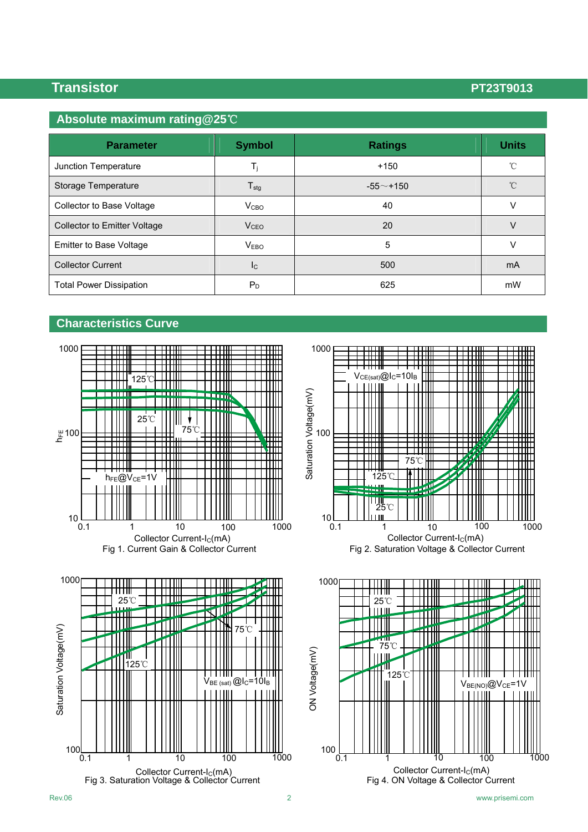## **Absolute maximum rating@25**℃

| <b>Parameter</b>                    | <b>Symbol</b>           | <b>Ratings</b> | <b>Units</b> |
|-------------------------------------|-------------------------|----------------|--------------|
| Junction Temperature                | $T_i$                   | $+150$         | $^{\circ}$ C |
| Storage Temperature                 | $T_{\text{stg}}$        | $-55$ ~+150    | $^{\circ}$ C |
| Collector to Base Voltage           | V <sub>CBO</sub>        | 40             | V            |
| <b>Collector to Emitter Voltage</b> | V <sub>CEO</sub>        | 20             | $\vee$       |
| Emitter to Base Voltage             | <b>VEBO</b>             | 5              | V            |
| <b>Collector Current</b>            | $\mathsf{I}_\mathsf{C}$ | 500            | mA           |
| <b>Total Power Dissipation</b>      | $P_D$                   | 625            | mW           |

### **Characteristics Curve**







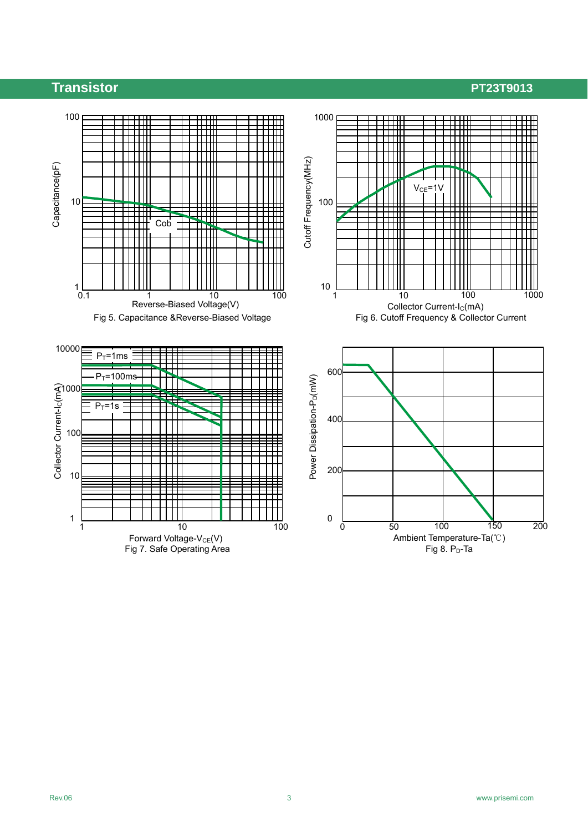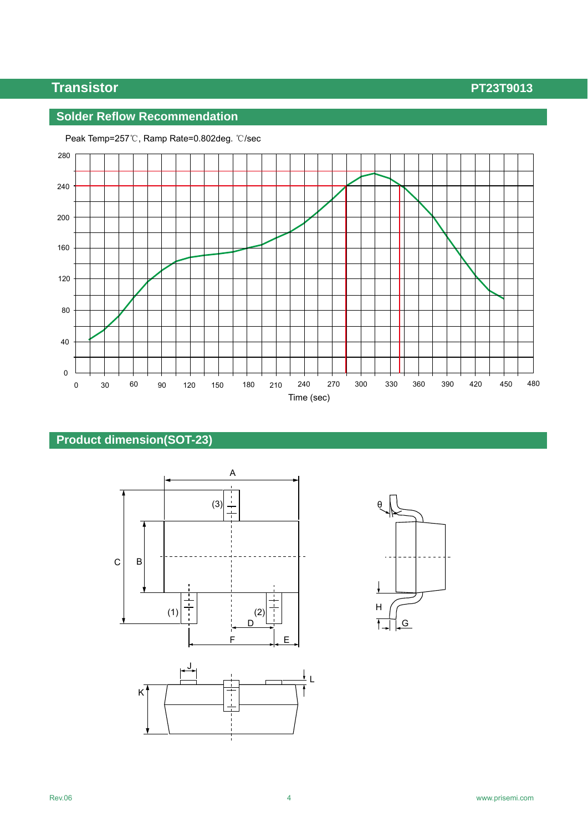## **Solder Reflow Recommendation**



Peak Temp=257℃, Ramp Rate=0.802deg. ℃/sec

## **Product dimension(SOT-23)**





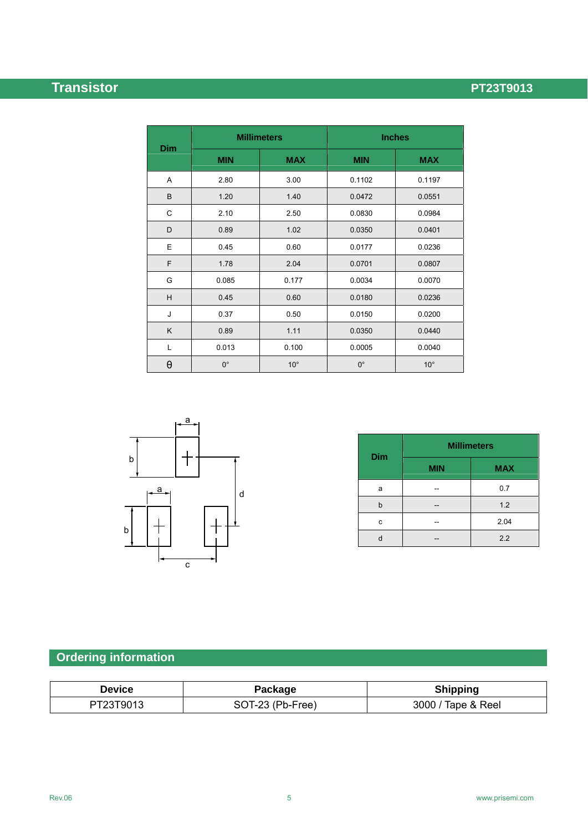|            |             | <b>Millimeters</b> | <b>Inches</b> |              |
|------------|-------------|--------------------|---------------|--------------|
| <b>Dim</b> | <b>MIN</b>  | <b>MAX</b>         | <b>MIN</b>    | <b>MAX</b>   |
| Α          | 2.80        | 3.00               | 0.1102        | 0.1197       |
| B          | 1.20        | 1.40               | 0.0472        | 0.0551       |
| C          | 2.10        | 2.50               | 0.0830        | 0.0984       |
| D          | 0.89        | 1.02               | 0.0350        | 0.0401       |
| E          | 0.45        | 0.60               | 0.0177        | 0.0236       |
| F          | 1.78        | 2.04               | 0.0701        | 0.0807       |
| G          | 0.085       | 0.177              | 0.0034        | 0.0070       |
| H          | 0.45        | 0.60               | 0.0180        | 0.0236       |
| J          | 0.37        | 0.50               | 0.0150        | 0.0200       |
| K          | 0.89        | 1.11               | 0.0350        | 0.0440       |
| Г          | 0.013       | 0.100              | 0.0005        | 0.0040       |
| θ          | $0^{\circ}$ | $10^{\circ}$       | $0^{\circ}$   | $10^{\circ}$ |



| <b>Dim</b> | <b>Millimeters</b> |            |  |  |
|------------|--------------------|------------|--|--|
|            | <b>MIN</b>         | <b>MAX</b> |  |  |
| a          |                    | 0.7        |  |  |
| h          |                    | 1.2        |  |  |
| c          |                    | 2.04       |  |  |
|            |                    | 2.2        |  |  |

# **Ordering information**

| Device    | Package          | <b>Shipping</b>    |
|-----------|------------------|--------------------|
| PT23T9013 | SOT-23 (Pb-Free) | 3000 / Tape & Reel |